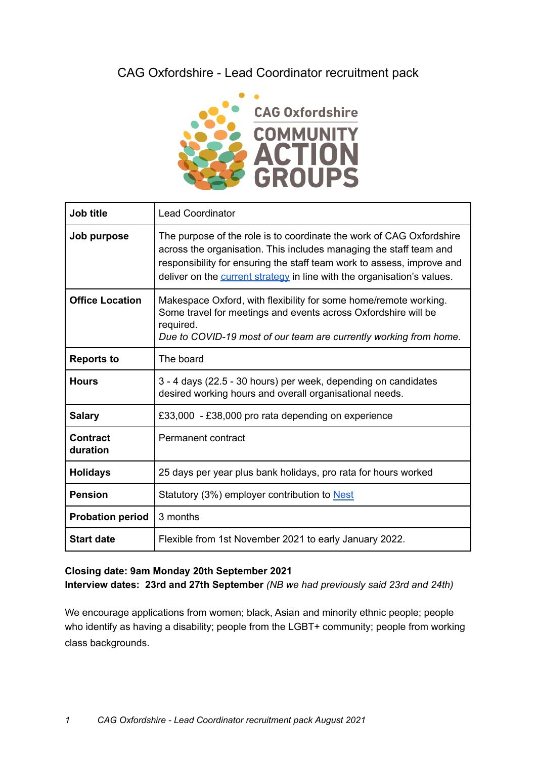# CAG Oxfordshire - Lead Coordinator recruitment pack



| <b>Job title</b>            | <b>Lead Coordinator</b>                                                                                                                                                                                                                                                                         |
|-----------------------------|-------------------------------------------------------------------------------------------------------------------------------------------------------------------------------------------------------------------------------------------------------------------------------------------------|
| Job purpose                 | The purpose of the role is to coordinate the work of CAG Oxfordshire<br>across the organisation. This includes managing the staff team and<br>responsibility for ensuring the staff team work to assess, improve and<br>deliver on the current strategy in line with the organisation's values. |
| <b>Office Location</b>      | Makespace Oxford, with flexibility for some home/remote working.<br>Some travel for meetings and events across Oxfordshire will be<br>required.<br>Due to COVID-19 most of our team are currently working from home.                                                                            |
| <b>Reports to</b>           | The board                                                                                                                                                                                                                                                                                       |
| <b>Hours</b>                | 3 - 4 days (22.5 - 30 hours) per week, depending on candidates<br>desired working hours and overall organisational needs.                                                                                                                                                                       |
| <b>Salary</b>               | £33,000 - £38,000 pro rata depending on experience                                                                                                                                                                                                                                              |
| <b>Contract</b><br>duration | Permanent contract                                                                                                                                                                                                                                                                              |
| <b>Holidays</b>             | 25 days per year plus bank holidays, pro rata for hours worked                                                                                                                                                                                                                                  |
| <b>Pension</b>              | Statutory (3%) employer contribution to Nest                                                                                                                                                                                                                                                    |
| <b>Probation period</b>     | 3 months                                                                                                                                                                                                                                                                                        |
| <b>Start date</b>           | Flexible from 1st November 2021 to early January 2022.                                                                                                                                                                                                                                          |

**Closing date: 9am Monday 20th September 2021 Interview dates: 23rd and 27th September** *(NB we had previously said 23rd and 24th)*

We encourage applications from women; black, Asian and minority ethnic people; people who identify as having a disability; people from the LGBT+ community; people from working class backgrounds.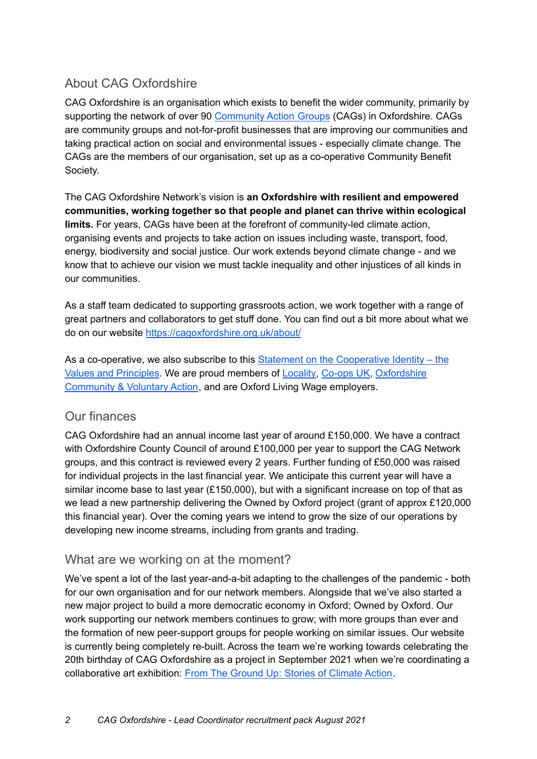# About CAG Oxfordshire

CAG Oxfordshire is an organisation which exists to benefit the wider community, primarily by supporting the network of over 90 [Community](https://cagoxfordshire.org.uk/oxfordshire-groups/) Action Groups (CAGs) in Oxfordshire. CAGs are community groups and not-for-profit businesses that are improving our communities and taking practical action on social and environmental issues - especially climate change. The CAGs are the members of our organisation, set up as a co-operative Community Benefit Society.

The CAG Oxfordshire Network's vision is **an Oxfordshire with resilient and empowered communities, working together so that people and planet can thrive within ecological limits.** For years, CAGs have been at the forefront of community-led climate action, organising events and projects to take action on issues including waste, transport, food, energy, biodiversity and social justice. Our work extends beyond climate change - and we know that to achieve our vision we must tackle inequality and other injustices of all kinds in our communities.

As a staff team dedicated to supporting grassroots action, we work together with a range of great partners and collaborators to get stuff done. You can find out a bit more about what we do on our website <https://cagoxfordshire.org.uk/about/>

As a co-operative, we also subscribe to this Statement on the [Cooperative](https://www.ica.coop/en/cooperatives/cooperative-identity) Identity – the Values and [Principles.](https://www.ica.coop/en/cooperatives/cooperative-identity) We are proud members of [Locality,](https://locality.org.uk/) [Co-ops](https://www.uk.coop/) UK, [Oxfordshire](https://ocva.org.uk/) [Community](https://ocva.org.uk/) & Voluntary Action, and are Oxford Living Wage employers.

### Our finances

CAG Oxfordshire had an annual income last year of around £150,000. We have a contract with Oxfordshire County Council of around £100,000 per year to support the CAG Network groups, and this contract is reviewed every 2 years. Further funding of £50,000 was raised for individual projects in the last financial year. We anticipate this current year will have a similar income base to last year (£150,000), but with a significant increase on top of that as we lead a new partnership delivering the Owned by Oxford project (grant of approx £120,000 this financial year). Over the coming years we intend to grow the size of our operations by developing new income streams, including from grants and trading.

### What are we working on at the moment?

We've spent a lot of the last year-and-a-bit adapting to the challenges of the pandemic - both for our own organisation and for our network members. Alongside that we've also started a new major project to build a more democratic economy in Oxford; Owned by Oxford. Our work supporting our network members continues to grow; with more groups than ever and the formation of new peer-support groups for people working on similar issues. Our website is currently being completely re-built. Across the team we're working towards celebrating the 20th birthday of CAG Oxfordshire as a project in September 2021 when we're coordinating a collaborative art exhibition: From The Ground Up: Stories of [Climate](https://www.from-the-ground-up.co.uk/) Action.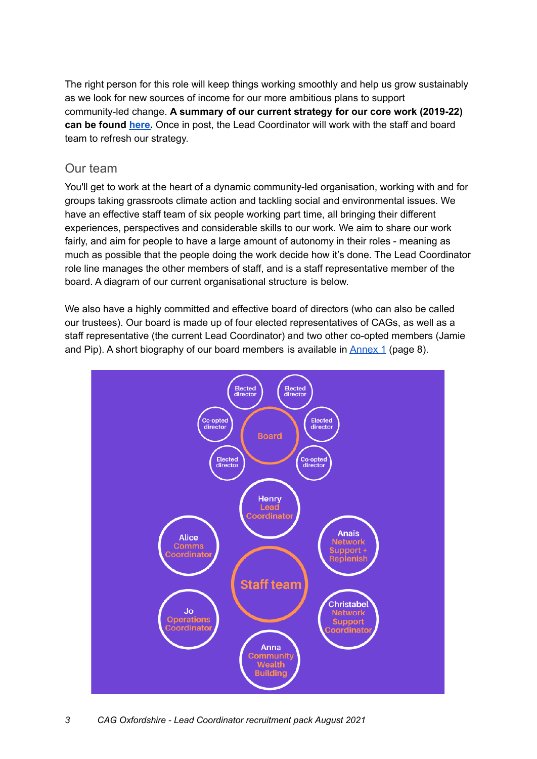The right person for this role will keep things working smoothly and help us grow sustainably as we look for new sources of income for our more ambitious plans to support community-led change. **A summary of our current strategy for our core work (2019-22) can be found [here.](https://docs.google.com/document/d/1IAupy6MdANQQmKaG_OByNvXmwjbU6cS32s1PZLu1xl8/edit#)** Once in post, the Lead Coordinator will work with the staff and board team to refresh our strategy.

### Our team

You'll get to work at the heart of a dynamic community-led organisation, working with and for groups taking grassroots climate action and tackling social and environmental issues. We have an effective staff team of six people working part time, all bringing their different experiences, perspectives and considerable skills to our work. We aim to share our work fairly, and aim for people to have a large amount of autonomy in their roles - meaning as much as possible that the people doing the work decide how it's done. The Lead Coordinator role line manages the other members of staff, and is a staff representative member of the board. A diagram of our current organisational structure is below.

We also have a highly committed and effective board of directors (who can also be called our trustees). Our board is made up of four elected representatives of CAGs, as well as a staff representative (the current Lead Coordinator) and two other co-opted members (Jamie and Pip). A short biography of our board members is available in  $\frac{\text{Annex } 1}{\text{Annex } 1}$  $\frac{\text{Annex } 1}{\text{Annex } 1}$  $\frac{\text{Annex } 1}{\text{Annex } 1}$  (page 8).



*3 CAG Oxfordshire - Lead Coordinator recruitment pack August 2021*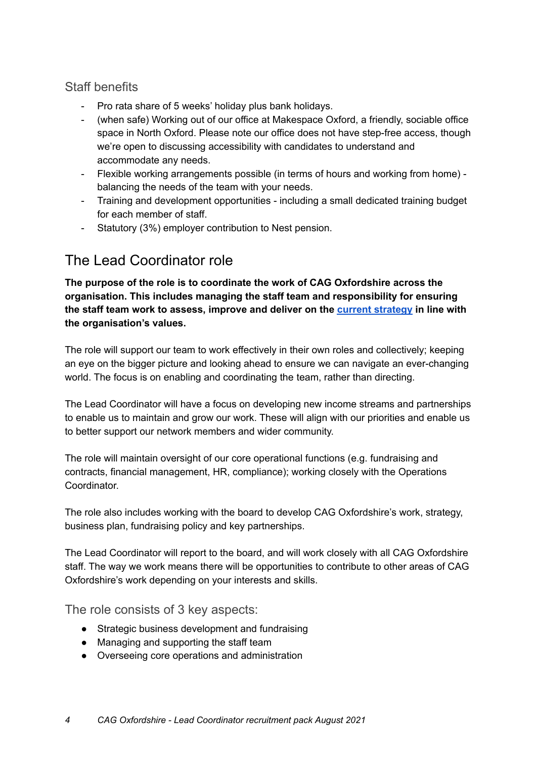# Staff benefits

- Pro rata share of 5 weeks' holiday plus bank holidays.
- (when safe) Working out of our office at Makespace Oxford, a friendly, sociable office space in North Oxford. Please note our office does not have step-free access, though we're open to discussing accessibility with candidates to understand and accommodate any needs.
- Flexible working arrangements possible (in terms of hours and working from home) balancing the needs of the team with your needs.
- Training and development opportunities including a small dedicated training budget for each member of staff.
- Statutory (3%) employer contribution to Nest pension.

# The Lead Coordinator role

**The purpose of the role is to coordinate the work of CAG Oxfordshire across the organisation. This includes managing the staff team and responsibility for ensuring the staff team work to assess, improve and deliver on the current [strategy](https://docs.google.com/document/d/1IAupy6MdANQQmKaG_OByNvXmwjbU6cS32s1PZLu1xl8/edit?usp=sharing) in line with the organisation's values.**

The role will support our team to work effectively in their own roles and collectively; keeping an eye on the bigger picture and looking ahead to ensure we can navigate an ever-changing world. The focus is on enabling and coordinating the team, rather than directing.

The Lead Coordinator will have a focus on developing new income streams and partnerships to enable us to maintain and grow our work. These will align with our priorities and enable us to better support our network members and wider community.

The role will maintain oversight of our core operational functions (e.g. fundraising and contracts, financial management, HR, compliance); working closely with the Operations Coordinator.

The role also includes working with the board to develop CAG Oxfordshire's work, strategy, business plan, fundraising policy and key partnerships.

The Lead Coordinator will report to the board, and will work closely with all CAG Oxfordshire staff. The way we work means there will be opportunities to contribute to other areas of CAG Oxfordshire's work depending on your interests and skills.

The role consists of 3 key aspects:

- Strategic business development and fundraising
- Managing and supporting the staff team
- Overseeing core operations and administration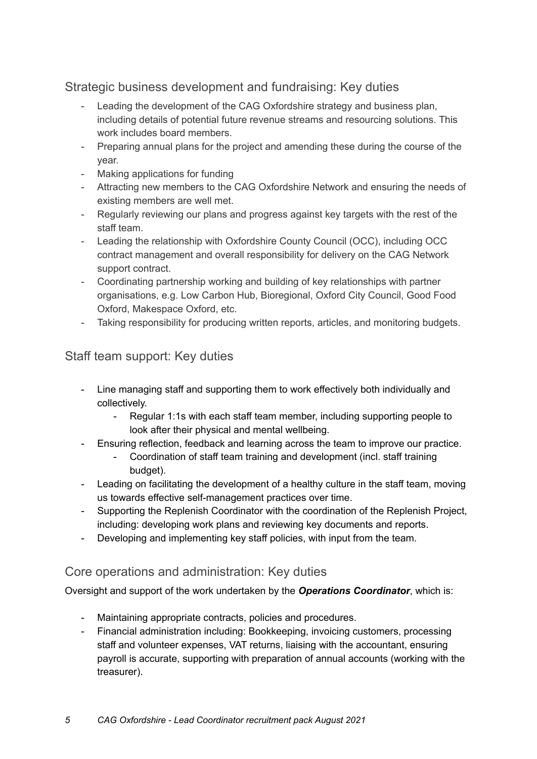Strategic business development and fundraising: Key duties

- Leading the development of the CAG Oxfordshire strategy and business plan, including details of potential future revenue streams and resourcing solutions. This work includes board members.
- Preparing annual plans for the project and amending these during the course of the year.
- Making applications for funding
- Attracting new members to the CAG Oxfordshire Network and ensuring the needs of existing members are well met.
- Regularly reviewing our plans and progress against key targets with the rest of the staff team.
- Leading the relationship with Oxfordshire County Council (OCC), including OCC contract management and overall responsibility for delivery on the CAG Network support contract.
- Coordinating partnership working and building of key relationships with partner organisations, e.g. Low Carbon Hub, Bioregional, Oxford City Council, Good Food Oxford, Makespace Oxford, etc.
- Taking responsibility for producing written reports, articles, and monitoring budgets.

# Staff team support: Key duties

- Line managing staff and supporting them to work effectively both individually and collectively.
	- Regular 1:1s with each staff team member, including supporting people to look after their physical and mental wellbeing.
- Ensuring reflection, feedback and learning across the team to improve our practice.
	- Coordination of staff team training and development (incl. staff training budget).
- Leading on facilitating the development of a healthy culture in the staff team, moving us towards effective self-management practices over time.
- Supporting the Replenish Coordinator with the coordination of the Replenish Project, including: developing work plans and reviewing key documents and reports.
- Developing and implementing key staff policies, with input from the team.

### Core operations and administration: Key duties

Oversight and support of the work undertaken by the *Operations Coordinator*, which is:

- Maintaining appropriate contracts, policies and procedures.
- Financial administration including: Bookkeeping, invoicing customers, processing staff and volunteer expenses, VAT returns, liaising with the accountant, ensuring payroll is accurate, supporting with preparation of annual accounts (working with the treasurer).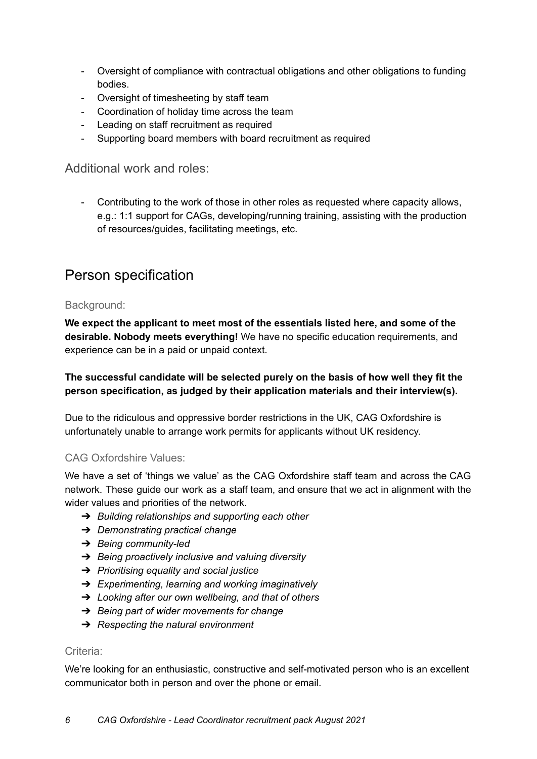- Oversight of compliance with contractual obligations and other obligations to funding bodies.
- Oversight of timesheeting by staff team
- Coordination of holiday time across the team
- Leading on staff recruitment as required
- Supporting board members with board recruitment as required

Additional work and roles:

Contributing to the work of those in other roles as requested where capacity allows, e.g.: 1:1 support for CAGs, developing/running training, assisting with the production of resources/guides, facilitating meetings, etc.

# Person specification

### Background:

**We expect the applicant to meet most of the essentials listed here, and some of the desirable. Nobody meets everything!** We have no specific education requirements, and experience can be in a paid or unpaid context.

**The successful candidate will be selected purely on the basis of how well they fit the person specification, as judged by their application materials and their interview(s).**

Due to the ridiculous and oppressive border restrictions in the UK, CAG Oxfordshire is unfortunately unable to arrange work permits for applicants without UK residency.

### CAG Oxfordshire Values:

We have a set of 'things we value' as the CAG Oxfordshire staff team and across the CAG network. These guide our work as a staff team, and ensure that we act in alignment with the wider values and priorities of the network.

- ➔ *Building relationships and supporting each other*
- ➔ *Demonstrating practical change*
- ➔ *Being community-led*
- ➔ *Being proactively inclusive and valuing diversity*
- ➔ *Prioritising equality and social justice*
- ➔ *Experimenting, learning and working imaginatively*
- ➔ *Looking after our own wellbeing, and that of others*
- ➔ *Being part of wider movements for change*
- ➔ *Respecting the natural environment*

#### Criteria:

We're looking for an enthusiastic, constructive and self-motivated person who is an excellent communicator both in person and over the phone or email.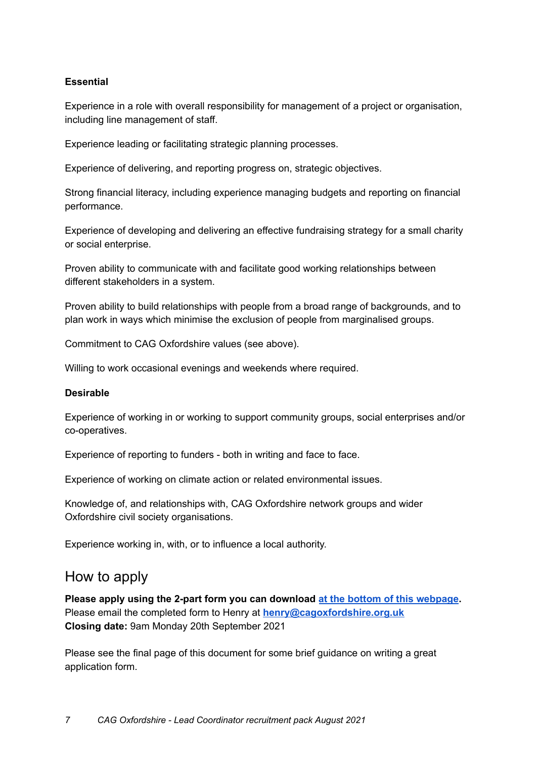### **Essential**

Experience in a role with overall responsibility for management of a project or organisation, including line management of staff.

Experience leading or facilitating strategic planning processes.

Experience of delivering, and reporting progress on, strategic objectives.

Strong financial literacy, including experience managing budgets and reporting on financial performance.

Experience of developing and delivering an effective fundraising strategy for a small charity or social enterprise.

Proven ability to communicate with and facilitate good working relationships between different stakeholders in a system.

Proven ability to build relationships with people from a broad range of backgrounds, and to plan work in ways which minimise the exclusion of people from marginalised groups.

Commitment to CAG Oxfordshire values (see above).

Willing to work occasional evenings and weekends where required.

#### **Desirable**

Experience of working in or working to support community groups, social enterprises and/or co-operatives.

Experience of reporting to funders - both in writing and face to face.

Experience of working on climate action or related environmental issues.

Knowledge of, and relationships with, CAG Oxfordshire network groups and wider Oxfordshire civil society organisations.

Experience working in, with, or to influence a local authority.

# How to apply

**Please apply using the 2-part form you can download at the bottom of this [webpage](https://www.cagoxfordshire.org.uk/post/do-you-want-to-lead-the-cag-oxfordshire-team).** Please email the completed form to Henry at **[henry@cagoxfordshire.org.uk](mailto:henry@cagoxfordshire.org.uk) Closing date:** 9am Monday 20th September 2021

Please see the final page of this document for some brief guidance on writing a great application form.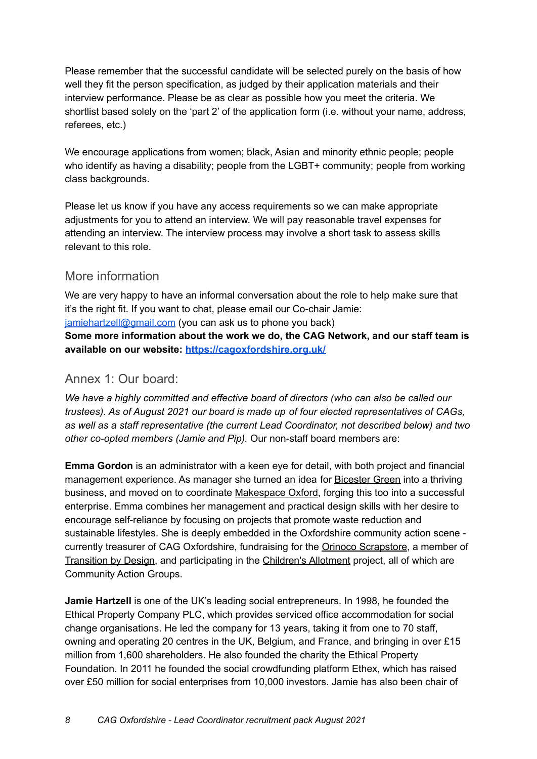Please remember that the successful candidate will be selected purely on the basis of how well they fit the person specification, as judged by their application materials and their interview performance. Please be as clear as possible how you meet the criteria. We shortlist based solely on the 'part 2' of the application form (i.e. without your name, address, referees, etc.)

We encourage applications from women; black, Asian and minority ethnic people; people who identify as having a disability; people from the LGBT+ community; people from working class backgrounds.

Please let us know if you have any access requirements so we can make appropriate adjustments for you to attend an interview. We will pay reasonable travel expenses for attending an interview. The interview process may involve a short task to assess skills relevant to this role.

# More information

We are very happy to have an informal conversation about the role to help make sure that it's the right fit. If you want to chat, please email our Co-chair Jamie: [jamiehartzell@gmail.com](mailto:jamiehartzell@gmail.com) (you can ask us to phone you back) **Some more information about the work we do, the CAG Network, and our staff team is available on our website: <https://cagoxfordshire.org.uk/>**

# <span id="page-7-0"></span>Annex 1: Our board:

*We have a highly committed and effective board of directors (who can also be called our trustees). As of August 2021 our board is made up of four elected representatives of CAGs, as well as a staff representative (the current Lead Coordinator, not described below) and two other co-opted members (Jamie and Pip).* Our non-staff board members are:

**Emma Gordon** is an administrator with a keen eye for detail, with both project and financial management experience. As manager she turned an idea for [Bicester](http://www.bicestergreen.org.uk/) Green into a thriving business, and moved on to coordinate [Makespace](http://www.makespaceoxford.org/) Oxford, forging this too into a successful enterprise. Emma combines her management and practical design skills with her desire to encourage self-reliance by focusing on projects that promote waste reduction and sustainable lifestyles. She is deeply embedded in the Oxfordshire community action scene currently treasurer of CAG Oxfordshire, fundraising for the Orinoco [Scrapstore,](https://orinocoscrapstore.wordpress.com/) a member of [Transition](https://transitionbydesign.org/) by Design, and participating in the [Children's](https://www.facebook.com/childrensallotment/) Allotment project, all of which are Community Action Groups.

**Jamie Hartzell** is one of the UK's leading social entrepreneurs. In 1998, he founded the Ethical Property Company PLC, which provides serviced office accommodation for social change organisations. He led the company for 13 years, taking it from one to 70 staff, owning and operating 20 centres in the UK, Belgium, and France, and bringing in over £15 million from 1,600 shareholders. He also founded the charity the Ethical Property Foundation. In 2011 he founded the social crowdfunding platform Ethex, which has raised over £50 million for social enterprises from 10,000 investors. Jamie has also been chair of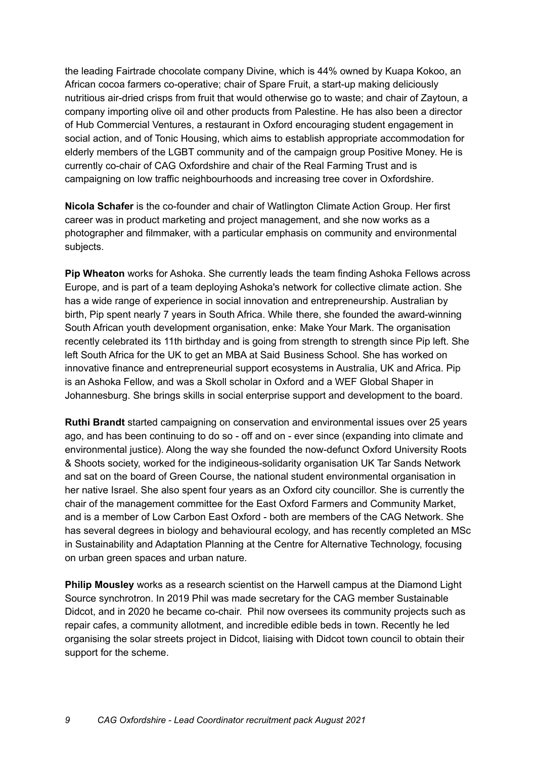the leading Fairtrade chocolate company Divine, which is 44% owned by Kuapa Kokoo, an African cocoa farmers co-operative; chair of Spare Fruit, a start-up making deliciously nutritious air-dried crisps from fruit that would otherwise go to waste; and chair of Zaytoun, a company importing olive oil and other products from Palestine. He has also been a director of Hub Commercial Ventures, a restaurant in Oxford encouraging student engagement in social action, and of Tonic Housing, which aims to establish appropriate accommodation for elderly members of the LGBT community and of the campaign group Positive Money. He is currently co-chair of CAG Oxfordshire and chair of the Real Farming Trust and is campaigning on low traffic neighbourhoods and increasing tree cover in Oxfordshire.

**Nicola Schafer** is the co-founder and chair of Watlington Climate Action Group. Her first career was in product marketing and project management, and she now works as a photographer and filmmaker, with a particular emphasis on community and environmental subjects.

**Pip Wheaton** works for Ashoka. She currently leads the team finding Ashoka Fellows across Europe, and is part of a team deploying Ashoka's network for collective climate action. She has a wide range of experience in social innovation and entrepreneurship. Australian by birth, Pip spent nearly 7 years in South Africa. While there, she founded the award-winning South African youth development organisation, enke: Make Your Mark. The organisation recently celebrated its 11th birthday and is going from strength to strength since Pip left. She left South Africa for the UK to get an MBA at Said Business School. She has worked on innovative finance and entrepreneurial support ecosystems in Australia, UK and Africa. Pip is an Ashoka Fellow, and was a Skoll scholar in Oxford and a WEF Global Shaper in Johannesburg. She brings skills in social enterprise support and development to the board.

**Ruthi Brandt** started campaigning on conservation and environmental issues over 25 years ago, and has been continuing to do so - off and on - ever since (expanding into climate and environmental justice). Along the way she founded the now-defunct Oxford University Roots & Shoots society, worked for the indigineous-solidarity organisation UK Tar Sands Network and sat on the board of Green Course, the national student environmental organisation in her native Israel. She also spent four years as an Oxford city councillor. She is currently the chair of the management committee for the East Oxford Farmers and Community Market, and is a member of Low Carbon East Oxford - both are members of the CAG Network. She has several degrees in biology and behavioural ecology, and has recently completed an MSc in Sustainability and Adaptation Planning at the Centre for Alternative Technology, focusing on urban green spaces and urban nature.

**Philip Mousley** works as a research scientist on the Harwell campus at the Diamond Light Source synchrotron. In 2019 Phil was made secretary for the CAG member Sustainable Didcot, and in 2020 he became co-chair. Phil now oversees its community projects such as repair cafes, a community allotment, and incredible edible beds in town. Recently he led organising the solar streets project in Didcot, liaising with Didcot town council to obtain their support for the scheme.